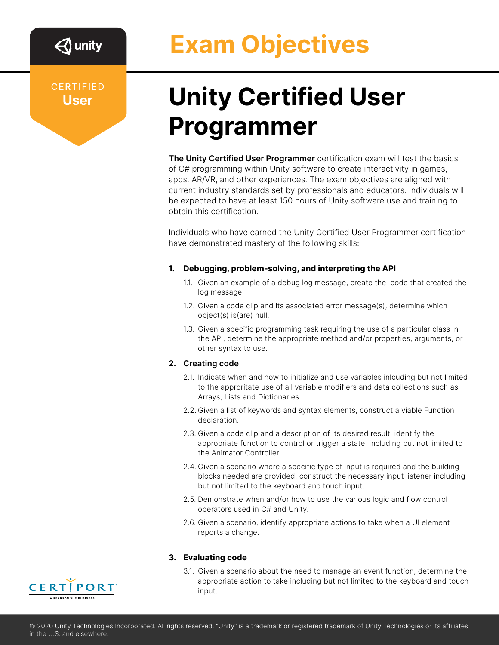# **Exam Objectives**

**CERTIFIED User**

## **Unity Certified User Programmer**

**The Unity Certified User Programmer** certification exam will test the basics of C# programming within Unity software to create interactivity in games, apps, AR/VR, and other experiences. The exam objectives are aligned with current industry standards set by professionals and educators. Individuals will be expected to have at least 150 hours of Unity software use and training to obtain this certification.

Individuals who have earned the Unity Certified User Programmer certification have demonstrated mastery of the following skills:

### **1. Debugging, problem-solving, and interpreting the API**

- 1.1. Given an example of a debug log message, create the code that created the log message.
- 1.2. Given a code clip and its associated error message(s), determine which object(s) is(are) null.
- 1.3. Given a specific programming task requiring the use of a particular class in the API, determine the appropriate method and/or properties, arguments, or other syntax to use.

#### **2. Creating code**

- 2.1. Indicate when and how to initialize and use variables inlcuding but not limited to the approritate use of all variable modifiers and data collections such as Arrays, Lists and Dictionaries.
- 2.2. Given a list of keywords and syntax elements, construct a viable Function declaration.
- 2.3. Given a code clip and a description of its desired result, identify the appropriate function to control or trigger a state including but not limited to the Animator Controller.
- 2.4. Given a scenario where a specific type of input is required and the building blocks needed are provided, construct the necessary input listener including but not limited to the keyboard and touch input.
- 2.5. Demonstrate when and/or how to use the various logic and flow control operators used in C# and Unity.
- 2.6. Given a scenario, identify appropriate actions to take when a UI element reports a change.

#### **3. Evaluating code**

3.1. Given a scenario about the need to manage an event function, determine the appropriate action to take including but not limited to the keyboard and touch input.